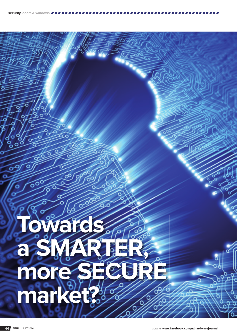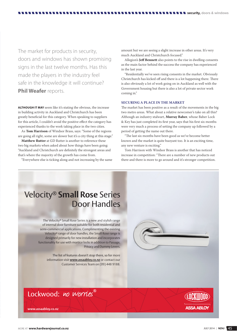The market for products in security, doors and windows has shown promising signs in the last twelve months. Has this made the players in the industry feel safe in the knowledge it will continue? **Phil Weafer** reports.

**ALTHOUGH IT MAY** seem like it's stating the obvious, the increase in building activity in Auckland and Christchurch has been greatly beneficial for this category. When speaking to suppliers for this article, I couldn't avoid the positive effect the category has experienced thanks to the work taking place in the two cities.

As **Tom Harrison** of Windsor Brass, says: "Some of the regions are going all right, some are slower but it's a city thing at this stage."

**Matthew Rutter** at GD Rutter is another to reference these two big markets when asked about how things have been going: "Auckland and Christchurch are definitely the strongest areas and that's where the majority of the growth has come from.

"Everywhere else is ticking along and not increasing by the same

amount but we are seeing a slight increase in other areas. It's very much Auckland and Christchurch focused."

Allegion's **Jeff Bennett** also points to the rise in dwelling consents as the main factor behind the success the company has experienced in the last year.

"Residentially we've seen rising consents in the market. Obviously Christchurch has kicked off and there is a lot happening there. There is also obviously a lot of work going on in Auckland as well with the Government housing but there is also a lot of private sector work coming in."

#### **SECURING A PLACE IN THE MARKET**

The market has been positive as a result of the movements in the big two metro areas. What about a relative newcomer's take on all this? Although an industry stalwart, **Murray Baber**, whose Baber Lock & Key has just completed its first year, says that his first six months were very much a process of setting the company up followed by a period of getting the name out there.

"The last six months have been good as we've become better known and the market is quite buoyant too. It is an exciting time, any new venture is exciting."

Tom Harrison with Windsor Brass is another that has noticed increase in competition: "There are a number of new products out there and there is more to go around and it's stronger competition.

## Velocity® **Small Rose** Series Door Handles

The Velocity® Small Rose Series is a new and stylish range of internal door furniture suitable for both residential and semi-commercial applications. Complimenting the existing Velocity® range of door handles, the Small Rose range is designed primarily for new installation and incorporates functionality for use with mortice locks in addition to Passage, Privacy and Dummy Levers.

> The list of features doesn't stop there, so for more information visit **www.assaabloy.co.nz** or contact our Customer Services Team on (09) 448 9188.





**www.assaabloy.co.nz**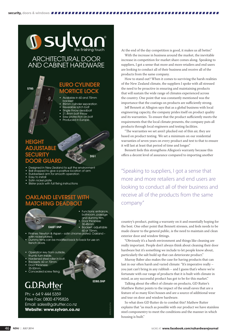# **J sylvor** ARCHITECTURAL DOOR

## AND CABINET HARDWARE

#### S785

#### EURO CYLINDER **MORTICE LOCK**

- Available in 60 and 70mm
- backset • 85mm cylinder separation
- Reversible latch bolt
- Single throw deadbolt
- 21.4mm bolt throw Saw protection on bolt
- Produced in Europe.

## **HEIGHT** ADJUSTABLE **SECURITY** DOOR GUARD

D<sub>G1</sub>

- Designed in New Zealand to suit the environment
- Ball stopped to give a positive location of arm
- Rubberised arm for smooth operation
- Easy to install
- Satin nickel plate
- **Blister pack with full fixing instructions**

#### OAKLAND LEVERSET WITH MATCHING DEADBOLT



- Functions: entrance, bathroom, passage and dummy trim. Door thickness 30-45mm.
- Backset: adjustable

EDB5.SNP

MPM 8523 0714

- 60 or 70mm. Finishes: Newton & Aspen satin chrome plated. Oakland satin nickel plated.
- Dummy trims can be modified back to back for use on french doors.
- Operation key from outside,
- thumb turn inside. • Hardened steel roller in bolt.
- Backsets: 60 or 70mm.
- Door thickness
- 35-50mm.
- concealed screw fixing.

## G.D.Rutter

Ph: + 64 9 444 5359 Free Fax: 0800 4795826 Email: sales@gdrutter.co.nz **Website: www.sylvan.co.nz** At the end of the day competition is good, it makes us all better."

With the increase in business around the market, the inevitable increase in competition for market share comes along. Speaking to suppliers, I got a sense that more and more retailers and end users are looking to conduct all of their business and receive all of the products from the same company.

How to stand out? When it comes to surviving the harsh realities of the New Zealand climate, the suppliers I spoke with all stressed the need to be proactive in ensuring and maintaining products that will sustain the wide range of climates experienced across the country. One point that was constantly mentioned was the importance that the coatings on products are sufficiently strong.

Jeff Bennett at Allegion says that as a global business with local engineering capacity, the company prides itself on product quality and its warranties. To ensure that the product sufficiently meets the requirements that the local climate presents, the company puts all products through local engineers and testing facilities.

"The warranties we set aren't plucked out of thin air, they are based on product testing. We set a minimum on our residential warranties of seven years on every product and test to that to ensure it will last at least that period of time and longer."

Bennett feels this strengthens Allegion's warranty because this offers a decent level of assurance compared to importing another

"Speaking to suppliers, I got a sense that more and more retailers and end users are looking to conduct all of their business and receive all of the products from the same company"

country's product, putting a warranty on it and essentially hoping for the best. One other point that Bennett stresses, and feels needs to be made clearer to the general public, is the need to maintain and clean exterior door and window fittings.

"Obviously it's a harsh environment and things like cleaning are really important. People don't always think about cleaning their door hardware but it's something we include to let people know about, particularly the salt build up that can deteriorate product."

Murray Baber also makes the case for having products that can last in our often harsh and varied climate: "It's imperative really – you just can't bring in any rubbish – and I guess that's where we're fortunate with our range of products that it is built with climate in mind, as any successful product has got to be for this market."

Talking about the effect of climate on products, GD Rutter's Matthew Rutter points to the impact of the small eaves that are a feature of so many Kiwi houses and are a source of additional wear and tear on door and window hardware.

So what does GD Rutter do to combat this? Mathew Rutter explains that "as much as possible with our product we have stainless steel componentry to meet the conditions and the manner in which housing is built."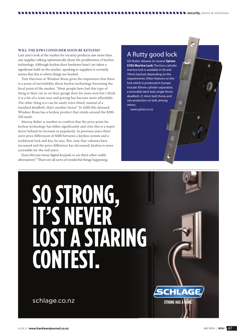Last year's look at the market for security products saw more than one supplier talking optimistically about the proliferation of keyless technology. Although keyless door hardware hasn't yet taken a significant hold on the market, speaking to suppliers it certainly seems that this is where things are headed.

Tom Harrison at Windsor Brass gives the impression that there is a sense of inevitability about keyless technology becoming the focal point of the market: "Most people have had this type of thing in their car or on their garage door for years now but I think it is a bit of a want now and pricing has become more affordable. The other thing is it can be easily retro-fitted, instead of a standard deadbolt, that's another factor." To fulfil this demand, Windsor Brass has a keyless product that retails around the \$200- 250 mark.

Murray Baber is another to confirm that the price point for keyless technology has fallen significantly and cites this is a major factor behind its increase in popularity. In previous years there were price differences of \$400 between a keyless system and a traditional lock and key, he says. But, now that volumes have increased and the price difference has decreased, keyless is more accessible for the end users.

Does this just mean digital keypads or are there other viable alternatives? "There are all sorts of wonderful things happening

#### A Rutty good lock

**s security,** doors & windows

GD Rutter releases its newest **Sylvan S785 Mortice Lock**. The Euro cylinder mortice lock is available in 60 and 70mm backset depending on the requirements. Other features on the lock which is produced in Europe include: 85mm cylinder separation, a reversible latch bolt, single throw deadbolt, 21.4mm bolt throw, and saw protection on bolt, among others.

*www.sylvan.co.nz* 

# SO STRONG, **A STARING CONTEST.**

schlage.co.nz

**CHLAG** 

**STRONG HAS A NAME**